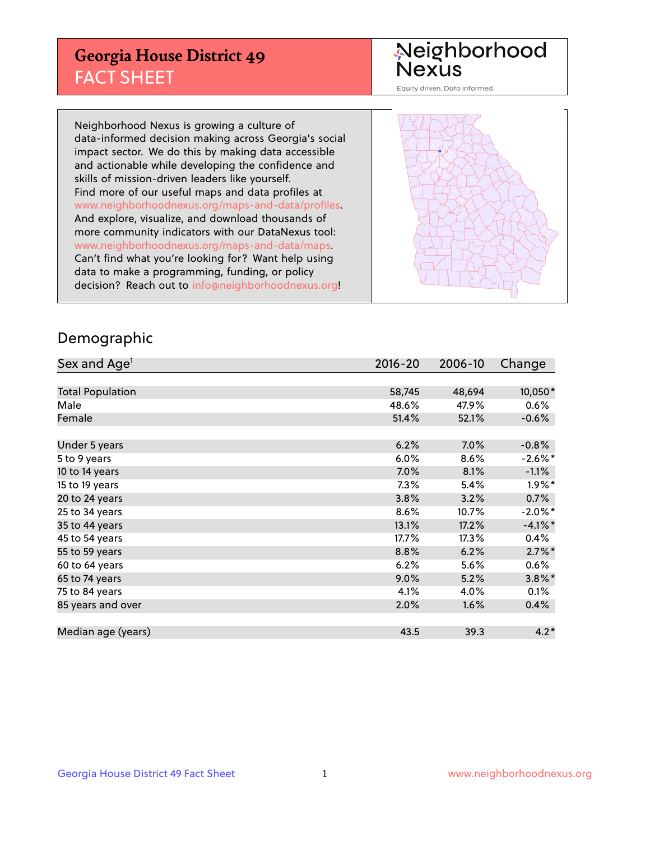## **Georgia House District 49** FACT SHEET

# Neighborhood<br>Nexus

Equity driven. Data informed.

Neighborhood Nexus is growing a culture of data-informed decision making across Georgia's social impact sector. We do this by making data accessible and actionable while developing the confidence and skills of mission-driven leaders like yourself. Find more of our useful maps and data profiles at www.neighborhoodnexus.org/maps-and-data/profiles. And explore, visualize, and download thousands of more community indicators with our DataNexus tool: www.neighborhoodnexus.org/maps-and-data/maps. Can't find what you're looking for? Want help using data to make a programming, funding, or policy decision? Reach out to [info@neighborhoodnexus.org!](mailto:info@neighborhoodnexus.org)



### Demographic

| Sex and Age <sup>1</sup> | $2016 - 20$ | 2006-10 | Change     |
|--------------------------|-------------|---------|------------|
|                          |             |         |            |
| <b>Total Population</b>  | 58,745      | 48,694  | 10,050*    |
| Male                     | 48.6%       | 47.9%   | $0.6\%$    |
| Female                   | 51.4%       | 52.1%   | $-0.6%$    |
|                          |             |         |            |
| Under 5 years            | 6.2%        | $7.0\%$ | $-0.8%$    |
| 5 to 9 years             | 6.0%        | 8.6%    | $-2.6\%$ * |
| 10 to 14 years           | 7.0%        | 8.1%    | $-1.1%$    |
| 15 to 19 years           | 7.3%        | 5.4%    | $1.9\%$ *  |
| 20 to 24 years           | 3.8%        | 3.2%    | 0.7%       |
| 25 to 34 years           | 8.6%        | 10.7%   | $-2.0\%$ * |
| 35 to 44 years           | 13.1%       | 17.2%   | $-4.1%$ *  |
| 45 to 54 years           | 17.7%       | 17.3%   | 0.4%       |
| 55 to 59 years           | 8.8%        | 6.2%    | $2.7\%$ *  |
| 60 to 64 years           | 6.2%        | 5.6%    | 0.6%       |
| 65 to 74 years           | $9.0\%$     | 5.2%    | $3.8\%$ *  |
| 75 to 84 years           | 4.1%        | 4.0%    | 0.1%       |
| 85 years and over        | 2.0%        | 1.6%    | 0.4%       |
|                          |             |         |            |
| Median age (years)       | 43.5        | 39.3    | $4.2*$     |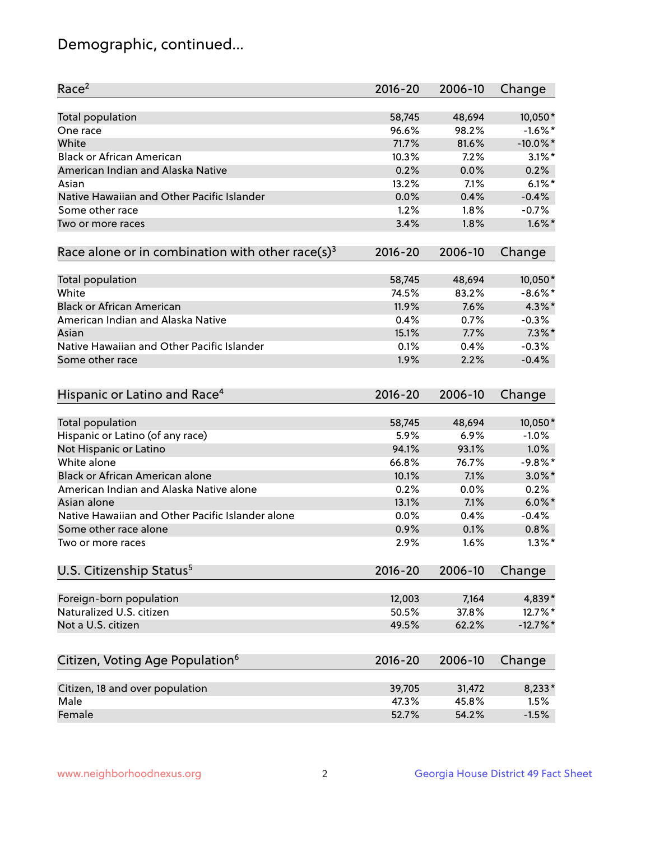## Demographic, continued...

| Race <sup>2</sup>                                            | $2016 - 20$ | 2006-10 | Change      |
|--------------------------------------------------------------|-------------|---------|-------------|
| <b>Total population</b>                                      | 58,745      | 48,694  | 10,050*     |
| One race                                                     | 96.6%       | 98.2%   | $-1.6\%$ *  |
| White                                                        | 71.7%       | 81.6%   | $-10.0\%$ * |
| <b>Black or African American</b>                             | 10.3%       | 7.2%    | $3.1\%$ *   |
| American Indian and Alaska Native                            | 0.2%        | 0.0%    | 0.2%        |
| Asian                                                        | 13.2%       | 7.1%    | $6.1\%$ *   |
| Native Hawaiian and Other Pacific Islander                   | 0.0%        | 0.4%    | $-0.4%$     |
| Some other race                                              | 1.2%        | 1.8%    | $-0.7%$     |
| Two or more races                                            | 3.4%        | 1.8%    | $1.6\%$ *   |
| Race alone or in combination with other race(s) <sup>3</sup> | $2016 - 20$ | 2006-10 | Change      |
| Total population                                             | 58,745      | 48,694  | 10,050*     |
| White                                                        | 74.5%       | 83.2%   | $-8.6\%$ *  |
| <b>Black or African American</b>                             | 11.9%       | 7.6%    | 4.3%*       |
| American Indian and Alaska Native                            | 0.4%        | 0.7%    | $-0.3%$     |
| Asian                                                        | 15.1%       | 7.7%    | $7.3\%$ *   |
| Native Hawaiian and Other Pacific Islander                   | 0.1%        | 0.4%    | $-0.3%$     |
| Some other race                                              | 1.9%        | 2.2%    | $-0.4%$     |
|                                                              |             |         |             |
| Hispanic or Latino and Race <sup>4</sup>                     | $2016 - 20$ | 2006-10 | Change      |
| <b>Total population</b>                                      | 58,745      | 48,694  | 10,050*     |
| Hispanic or Latino (of any race)                             | 5.9%        | 6.9%    | $-1.0%$     |
| Not Hispanic or Latino                                       | 94.1%       | 93.1%   | 1.0%        |
| White alone                                                  | 66.8%       | 76.7%   | $-9.8%$ *   |
| Black or African American alone                              | 10.1%       | 7.1%    | $3.0\%$ *   |
| American Indian and Alaska Native alone                      | 0.2%        | 0.0%    | 0.2%        |
| Asian alone                                                  | 13.1%       | 7.1%    | $6.0\%$ *   |
| Native Hawaiian and Other Pacific Islander alone             | 0.0%        | 0.4%    | $-0.4%$     |
| Some other race alone                                        | 0.9%        | 0.1%    | 0.8%        |
| Two or more races                                            | 2.9%        | 1.6%    | $1.3\%$ *   |
| U.S. Citizenship Status <sup>5</sup>                         | $2016 - 20$ | 2006-10 | Change      |
|                                                              |             |         |             |
| Foreign-born population                                      | 12,003      | 7,164   | 4,839*      |
| Naturalized U.S. citizen                                     | 50.5%       | 37.8%   | 12.7%*      |
| Not a U.S. citizen                                           | 49.5%       | 62.2%   | $-12.7\%$ * |
| Citizen, Voting Age Population <sup>6</sup>                  | 2016-20     | 2006-10 | Change      |
| Citizen, 18 and over population                              | 39,705      | 31,472  | 8,233*      |
| Male                                                         | 47.3%       | 45.8%   | 1.5%        |
| Female                                                       | 52.7%       | 54.2%   | $-1.5%$     |
|                                                              |             |         |             |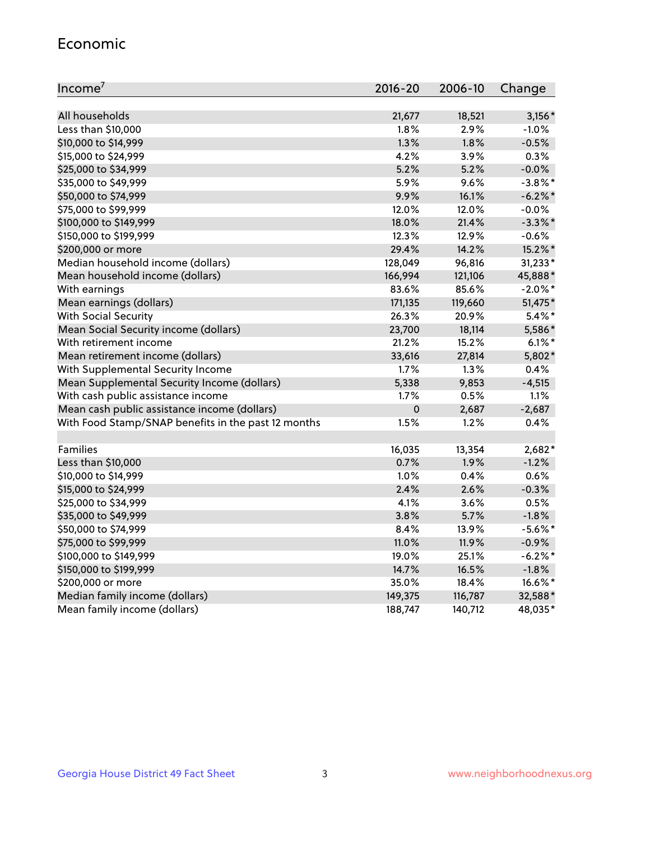#### Economic

| Income <sup>7</sup>                                 | $2016 - 20$ | 2006-10 | Change     |
|-----------------------------------------------------|-------------|---------|------------|
|                                                     |             |         |            |
| All households                                      | 21,677      | 18,521  | $3,156*$   |
| Less than \$10,000                                  | 1.8%        | 2.9%    | $-1.0%$    |
| \$10,000 to \$14,999                                | 1.3%        | 1.8%    | $-0.5%$    |
| \$15,000 to \$24,999                                | 4.2%        | 3.9%    | 0.3%       |
| \$25,000 to \$34,999                                | 5.2%        | 5.2%    | $-0.0%$    |
| \$35,000 to \$49,999                                | 5.9%        | 9.6%    | $-3.8\%$ * |
| \$50,000 to \$74,999                                | 9.9%        | 16.1%   | $-6.2\%$ * |
| \$75,000 to \$99,999                                | 12.0%       | 12.0%   | $-0.0%$    |
| \$100,000 to \$149,999                              | 18.0%       | 21.4%   | $-3.3\%$ * |
| \$150,000 to \$199,999                              | 12.3%       | 12.9%   | $-0.6%$    |
| \$200,000 or more                                   | 29.4%       | 14.2%   | 15.2%*     |
| Median household income (dollars)                   | 128,049     | 96,816  | 31,233*    |
| Mean household income (dollars)                     | 166,994     | 121,106 | 45,888*    |
| With earnings                                       | 83.6%       | 85.6%   | $-2.0\%$ * |
| Mean earnings (dollars)                             | 171,135     | 119,660 | 51,475*    |
| <b>With Social Security</b>                         | 26.3%       | 20.9%   | $5.4\%$ *  |
| Mean Social Security income (dollars)               | 23,700      | 18,114  | 5,586*     |
| With retirement income                              | 21.2%       | 15.2%   | $6.1\%$ *  |
| Mean retirement income (dollars)                    | 33,616      | 27,814  | 5,802*     |
| With Supplemental Security Income                   | $1.7\%$     | $1.3\%$ | 0.4%       |
| Mean Supplemental Security Income (dollars)         | 5,338       | 9,853   | $-4,515$   |
| With cash public assistance income                  | 1.7%        | 0.5%    | 1.1%       |
| Mean cash public assistance income (dollars)        | $\pmb{0}$   | 2,687   | $-2,687$   |
| With Food Stamp/SNAP benefits in the past 12 months | 1.5%        | 1.2%    | 0.4%       |
|                                                     |             |         |            |
| Families                                            | 16,035      | 13,354  | 2,682*     |
| Less than \$10,000                                  | 0.7%        | 1.9%    | $-1.2%$    |
| \$10,000 to \$14,999                                | 1.0%        | 0.4%    | 0.6%       |
| \$15,000 to \$24,999                                | 2.4%        | 2.6%    | $-0.3%$    |
| \$25,000 to \$34,999                                | 4.1%        | 3.6%    | 0.5%       |
| \$35,000 to \$49,999                                | 3.8%        | 5.7%    | $-1.8%$    |
| \$50,000 to \$74,999                                | 8.4%        | 13.9%   | $-5.6\%$ * |
| \$75,000 to \$99,999                                | 11.0%       | 11.9%   | $-0.9%$    |
| \$100,000 to \$149,999                              | 19.0%       | 25.1%   | $-6.2%$ *  |
| \$150,000 to \$199,999                              | 14.7%       | 16.5%   | $-1.8%$    |
| \$200,000 or more                                   | 35.0%       | 18.4%   | 16.6%*     |
| Median family income (dollars)                      | 149,375     | 116,787 | 32,588*    |
| Mean family income (dollars)                        | 188,747     | 140,712 | 48,035*    |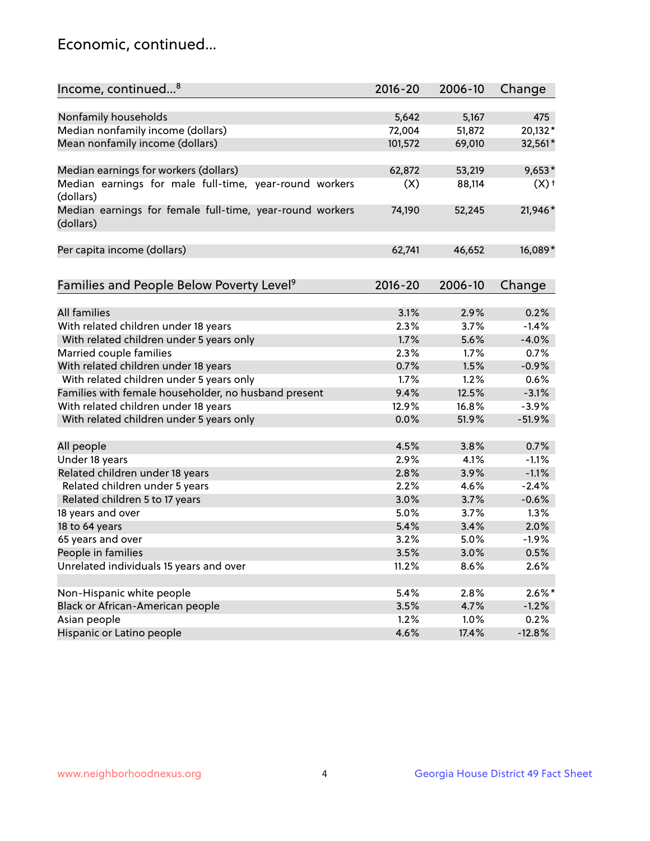## Economic, continued...

| Income, continued <sup>8</sup>                                        | $2016 - 20$ | 2006-10 | Change    |
|-----------------------------------------------------------------------|-------------|---------|-----------|
|                                                                       |             |         |           |
| Nonfamily households                                                  | 5,642       | 5,167   | 475       |
| Median nonfamily income (dollars)                                     | 72,004      | 51,872  | 20,132*   |
| Mean nonfamily income (dollars)                                       | 101,572     | 69,010  | 32,561*   |
| Median earnings for workers (dollars)                                 | 62,872      | 53,219  | $9,653*$  |
| Median earnings for male full-time, year-round workers                | (X)         | 88,114  | $(X)$ +   |
| (dollars)                                                             |             |         |           |
| Median earnings for female full-time, year-round workers<br>(dollars) | 74,190      | 52,245  | 21,946*   |
| Per capita income (dollars)                                           | 62,741      | 46,652  | 16,089*   |
|                                                                       |             |         |           |
| Families and People Below Poverty Level <sup>9</sup>                  | $2016 - 20$ | 2006-10 | Change    |
|                                                                       |             |         |           |
| <b>All families</b>                                                   | 3.1%        | 2.9%    | 0.2%      |
| With related children under 18 years                                  | 2.3%        | 3.7%    | $-1.4%$   |
| With related children under 5 years only                              | 1.7%        | 5.6%    | $-4.0%$   |
| Married couple families                                               | 2.3%        | 1.7%    | 0.7%      |
| With related children under 18 years                                  | 0.7%        | 1.5%    | $-0.9%$   |
| With related children under 5 years only                              | 1.7%        | 1.2%    | 0.6%      |
| Families with female householder, no husband present                  | 9.4%        | 12.5%   | $-3.1%$   |
| With related children under 18 years                                  | 12.9%       | 16.8%   | $-3.9%$   |
| With related children under 5 years only                              | 0.0%        | 51.9%   | $-51.9%$  |
| All people                                                            | 4.5%        | 3.8%    | 0.7%      |
| Under 18 years                                                        | 2.9%        | 4.1%    | $-1.1%$   |
| Related children under 18 years                                       | 2.8%        | 3.9%    | $-1.1%$   |
| Related children under 5 years                                        | 2.2%        | 4.6%    | $-2.4%$   |
| Related children 5 to 17 years                                        | 3.0%        | 3.7%    | $-0.6%$   |
| 18 years and over                                                     | 5.0%        | 3.7%    | 1.3%      |
| 18 to 64 years                                                        | 5.4%        | 3.4%    | 2.0%      |
| 65 years and over                                                     | 3.2%        | 5.0%    | $-1.9%$   |
| People in families                                                    | 3.5%        | 3.0%    | 0.5%      |
| Unrelated individuals 15 years and over                               | 11.2%       | 8.6%    | 2.6%      |
|                                                                       |             |         |           |
| Non-Hispanic white people                                             | 5.4%        | 2.8%    | $2.6\%$ * |
| Black or African-American people                                      | 3.5%        | 4.7%    | $-1.2%$   |
| Asian people                                                          | 1.2%        | 1.0%    | 0.2%      |
| Hispanic or Latino people                                             | 4.6%        | 17.4%   | $-12.8%$  |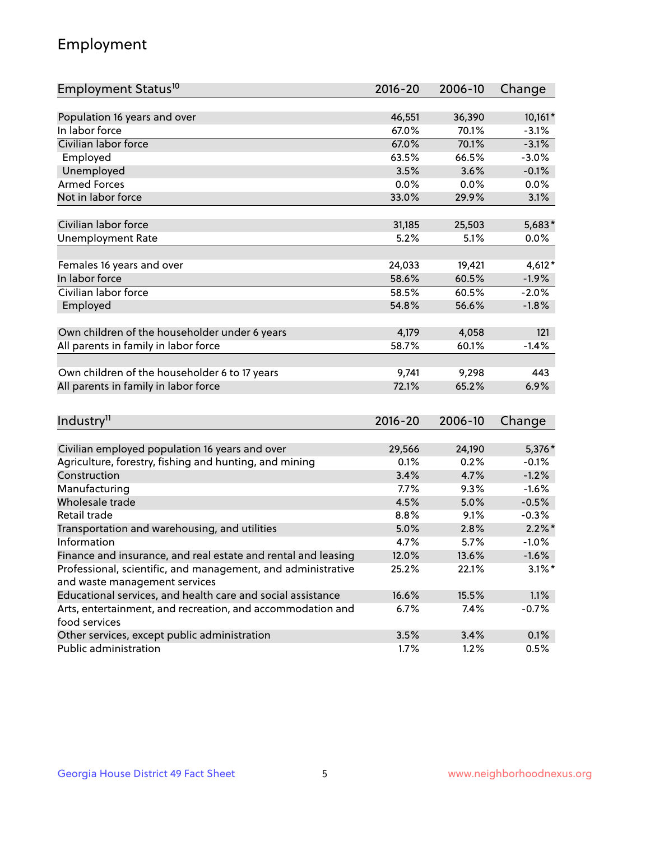## Employment

| Employment Status <sup>10</sup>                               | $2016 - 20$ | 2006-10 | Change    |
|---------------------------------------------------------------|-------------|---------|-----------|
|                                                               |             |         |           |
| Population 16 years and over                                  | 46,551      | 36,390  | $10,161*$ |
| In labor force                                                | 67.0%       | 70.1%   | $-3.1%$   |
| Civilian labor force                                          | 67.0%       | 70.1%   | $-3.1%$   |
| Employed                                                      | 63.5%       | 66.5%   | $-3.0%$   |
| Unemployed                                                    | 3.5%        | 3.6%    | $-0.1%$   |
| <b>Armed Forces</b>                                           | 0.0%        | 0.0%    | 0.0%      |
| Not in labor force                                            | 33.0%       | 29.9%   | 3.1%      |
|                                                               |             |         |           |
| Civilian labor force                                          | 31,185      | 25,503  | 5,683*    |
| <b>Unemployment Rate</b>                                      | 5.2%        | 5.1%    | 0.0%      |
| Females 16 years and over                                     | 24,033      | 19,421  | $4,612*$  |
| In labor force                                                | 58.6%       | 60.5%   | $-1.9%$   |
| Civilian labor force                                          | 58.5%       | 60.5%   | $-2.0%$   |
| Employed                                                      | 54.8%       | 56.6%   | $-1.8%$   |
|                                                               |             |         |           |
| Own children of the householder under 6 years                 | 4,179       | 4,058   | 121       |
| All parents in family in labor force                          | 58.7%       | 60.1%   | $-1.4%$   |
|                                                               |             |         |           |
| Own children of the householder 6 to 17 years                 | 9,741       | 9,298   | 443       |
| All parents in family in labor force                          | 72.1%       | 65.2%   | 6.9%      |
|                                                               |             |         |           |
| Industry <sup>11</sup>                                        | $2016 - 20$ | 2006-10 | Change    |
| Civilian employed population 16 years and over                | 29,566      | 24,190  | 5,376*    |
| Agriculture, forestry, fishing and hunting, and mining        | 0.1%        | 0.2%    | $-0.1%$   |
| Construction                                                  | 3.4%        | 4.7%    | $-1.2%$   |
| Manufacturing                                                 | 7.7%        | 9.3%    | $-1.6%$   |
| Wholesale trade                                               | 4.5%        | 5.0%    | $-0.5%$   |
| Retail trade                                                  | 8.8%        | 9.1%    | $-0.3%$   |
| Transportation and warehousing, and utilities                 | 5.0%        | 2.8%    | $2.2\%$ * |
| Information                                                   | 4.7%        | 5.7%    | $-1.0%$   |
| Finance and insurance, and real estate and rental and leasing | 12.0%       | 13.6%   | $-1.6%$   |
| Professional, scientific, and management, and administrative  | 25.2%       | 22.1%   | $3.1\%$ * |
| and waste management services                                 |             |         |           |
| Educational services, and health care and social assistance   | 16.6%       | 15.5%   | 1.1%      |
| Arts, entertainment, and recreation, and accommodation and    | 6.7%        | 7.4%    | $-0.7%$   |
| food services                                                 |             |         |           |
| Other services, except public administration                  | 3.5%        | 3.4%    | 0.1%      |
| Public administration                                         | 1.7%        | 1.2%    | 0.5%      |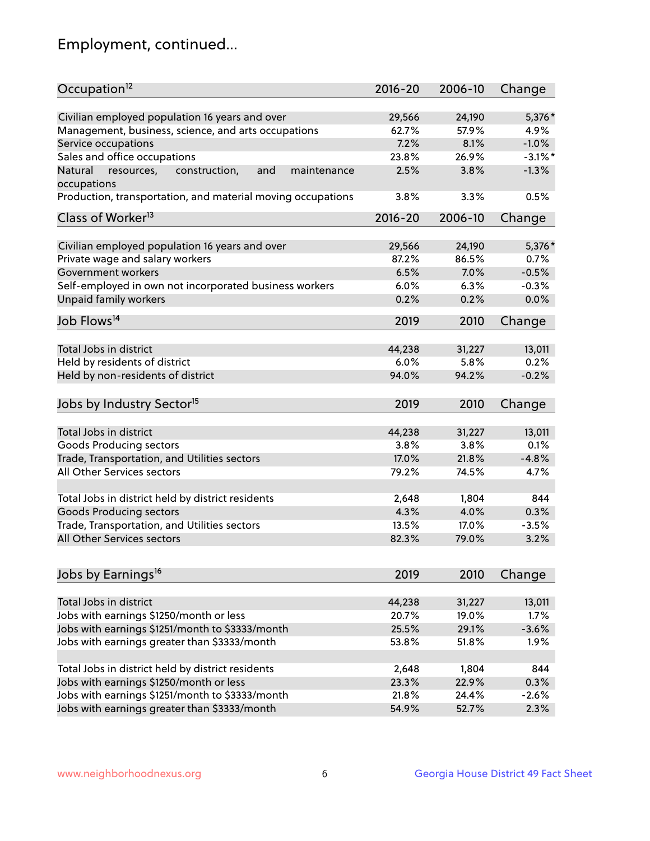## Employment, continued...

| Occupation <sup>12</sup>                                                   | $2016 - 20$ | 2006-10 | Change     |
|----------------------------------------------------------------------------|-------------|---------|------------|
| Civilian employed population 16 years and over                             | 29,566      | 24,190  | 5,376 *    |
| Management, business, science, and arts occupations                        | 62.7%       | 57.9%   | 4.9%       |
| Service occupations                                                        | 7.2%        | 8.1%    | $-1.0%$    |
| Sales and office occupations                                               | 23.8%       | 26.9%   | $-3.1\%$ * |
| Natural<br>and<br>resources,<br>construction,<br>maintenance               | 2.5%        | 3.8%    | $-1.3%$    |
| occupations                                                                |             |         |            |
| Production, transportation, and material moving occupations                | 3.8%        | 3.3%    | 0.5%       |
| Class of Worker <sup>13</sup>                                              | $2016 - 20$ | 2006-10 | Change     |
|                                                                            |             |         |            |
| Civilian employed population 16 years and over                             | 29,566      | 24,190  | 5,376*     |
| Private wage and salary workers                                            | 87.2%       | 86.5%   | 0.7%       |
| Government workers                                                         | 6.5%        | 7.0%    | $-0.5%$    |
| Self-employed in own not incorporated business workers                     | 6.0%        | 6.3%    | $-0.3%$    |
| Unpaid family workers                                                      | 0.2%        | 0.2%    | 0.0%       |
| Job Flows <sup>14</sup>                                                    | 2019        | 2010    | Change     |
|                                                                            |             |         |            |
| Total Jobs in district                                                     | 44,238      | 31,227  | 13,011     |
| Held by residents of district                                              | 6.0%        | 5.8%    | 0.2%       |
| Held by non-residents of district                                          | 94.0%       | 94.2%   | $-0.2%$    |
| Jobs by Industry Sector <sup>15</sup>                                      | 2019        | 2010    | Change     |
|                                                                            |             |         |            |
| Total Jobs in district                                                     | 44,238      | 31,227  | 13,011     |
| Goods Producing sectors                                                    | 3.8%        | 3.8%    | 0.1%       |
| Trade, Transportation, and Utilities sectors                               | 17.0%       | 21.8%   | $-4.8%$    |
| All Other Services sectors                                                 | 79.2%       | 74.5%   | 4.7%       |
| Total Jobs in district held by district residents                          | 2,648       | 1,804   | 844        |
|                                                                            | 4.3%        | 4.0%    | 0.3%       |
| <b>Goods Producing sectors</b>                                             |             | 17.0%   |            |
| Trade, Transportation, and Utilities sectors<br>All Other Services sectors | 13.5%       |         | $-3.5%$    |
|                                                                            | 82.3%       | 79.0%   | 3.2%       |
| Jobs by Earnings <sup>16</sup>                                             | 2019        | 2010    | Change     |
|                                                                            |             |         |            |
| Total Jobs in district                                                     | 44,238      | 31,227  | 13,011     |
| Jobs with earnings \$1250/month or less                                    | 20.7%       | 19.0%   | 1.7%       |
| Jobs with earnings \$1251/month to \$3333/month                            | 25.5%       | 29.1%   | $-3.6%$    |
| Jobs with earnings greater than \$3333/month                               | 53.8%       | 51.8%   | 1.9%       |
|                                                                            |             |         |            |
| Total Jobs in district held by district residents                          | 2,648       | 1,804   | 844        |
| Jobs with earnings \$1250/month or less                                    | 23.3%       | 22.9%   | 0.3%       |
| Jobs with earnings \$1251/month to \$3333/month                            | 21.8%       | 24.4%   | $-2.6%$    |
| Jobs with earnings greater than \$3333/month                               | 54.9%       | 52.7%   | 2.3%       |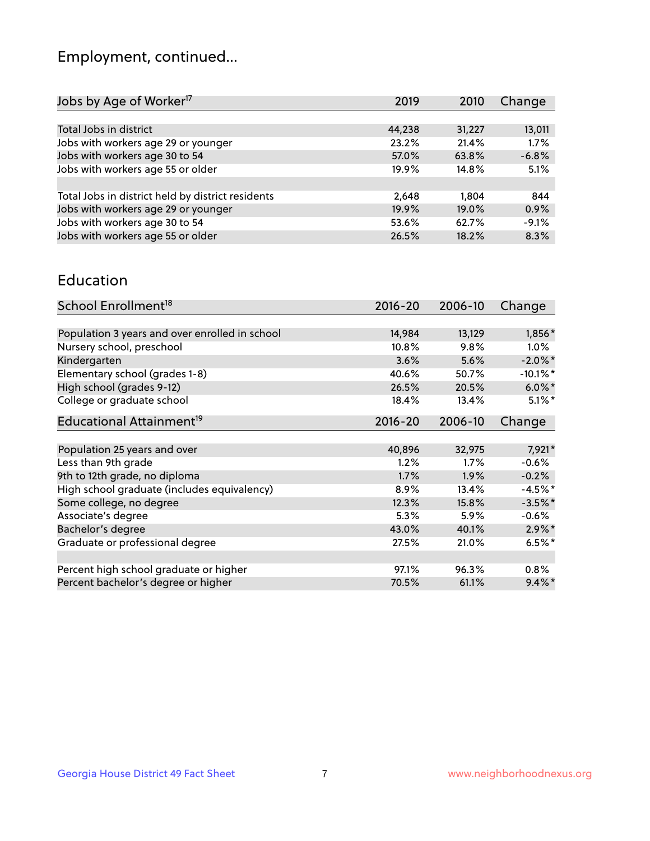## Employment, continued...

| Jobs by Age of Worker <sup>17</sup>               | 2019   | 2010   | Change  |
|---------------------------------------------------|--------|--------|---------|
|                                                   |        |        |         |
| Total Jobs in district                            | 44,238 | 31,227 | 13,011  |
| Jobs with workers age 29 or younger               | 23.2%  | 21.4%  | 1.7%    |
| Jobs with workers age 30 to 54                    | 57.0%  | 63.8%  | $-6.8%$ |
| Jobs with workers age 55 or older                 | 19.9%  | 14.8%  | 5.1%    |
|                                                   |        |        |         |
| Total Jobs in district held by district residents | 2,648  | 1.804  | 844     |
| Jobs with workers age 29 or younger               | 19.9%  | 19.0%  | 0.9%    |
| Jobs with workers age 30 to 54                    | 53.6%  | 62.7%  | $-9.1%$ |
| Jobs with workers age 55 or older                 | 26.5%  | 18.2%  | 8.3%    |

#### Education

| School Enrollment <sup>18</sup>                | $2016 - 20$ | 2006-10 | Change      |
|------------------------------------------------|-------------|---------|-------------|
|                                                |             |         |             |
| Population 3 years and over enrolled in school | 14,984      | 13,129  | 1,856*      |
| Nursery school, preschool                      | 10.8%       | 9.8%    | $1.0\%$     |
| Kindergarten                                   | 3.6%        | 5.6%    | $-2.0\%$ *  |
| Elementary school (grades 1-8)                 | 40.6%       | 50.7%   | $-10.1\%$ * |
| High school (grades 9-12)                      | 26.5%       | 20.5%   | $6.0\%$ *   |
| College or graduate school                     | 18.4%       | 13.4%   | $5.1\%$ *   |
| Educational Attainment <sup>19</sup>           | $2016 - 20$ | 2006-10 | Change      |
|                                                |             |         |             |
| Population 25 years and over                   | 40,896      | 32,975  | 7,921*      |
| Less than 9th grade                            | 1.2%        | $1.7\%$ | $-0.6%$     |
| 9th to 12th grade, no diploma                  | $1.7\%$     | $1.9\%$ | $-0.2%$     |
| High school graduate (includes equivalency)    | 8.9%        | 13.4%   | $-4.5%$ *   |
| Some college, no degree                        | 12.3%       | 15.8%   | $-3.5%$ *   |
| Associate's degree                             | 5.3%        | 5.9%    | $-0.6%$     |
| Bachelor's degree                              | 43.0%       | 40.1%   | $2.9\%$ *   |
| Graduate or professional degree                | 27.5%       | 21.0%   | $6.5%$ *    |
|                                                |             |         |             |
| Percent high school graduate or higher         | 97.1%       | 96.3%   | 0.8%        |
| Percent bachelor's degree or higher            | 70.5%       | 61.1%   | $9.4\%$     |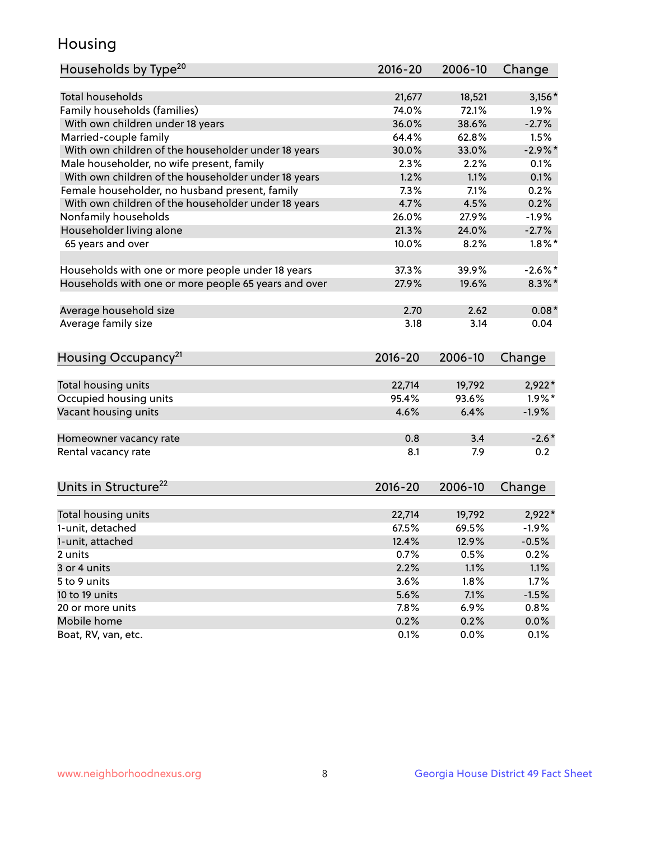## Housing

| Households by Type <sup>20</sup>                     | 2016-20 | 2006-10 | Change     |
|------------------------------------------------------|---------|---------|------------|
|                                                      |         |         |            |
| <b>Total households</b>                              | 21,677  | 18,521  | $3,156*$   |
| Family households (families)                         | 74.0%   | 72.1%   | $1.9\%$    |
| With own children under 18 years                     | 36.0%   | 38.6%   | $-2.7%$    |
| Married-couple family                                | 64.4%   | 62.8%   | 1.5%       |
| With own children of the householder under 18 years  | 30.0%   | 33.0%   | $-2.9\%$ * |
| Male householder, no wife present, family            | 2.3%    | 2.2%    | 0.1%       |
| With own children of the householder under 18 years  | 1.2%    | 1.1%    | 0.1%       |
| Female householder, no husband present, family       | 7.3%    | 7.1%    | 0.2%       |
| With own children of the householder under 18 years  | 4.7%    | 4.5%    | 0.2%       |
| Nonfamily households                                 | 26.0%   | 27.9%   | $-1.9%$    |
| Householder living alone                             | 21.3%   | 24.0%   | $-2.7%$    |
| 65 years and over                                    | 10.0%   | 8.2%    | $1.8\%$ *  |
|                                                      |         |         |            |
| Households with one or more people under 18 years    | 37.3%   | 39.9%   | $-2.6\%$ * |
| Households with one or more people 65 years and over | 27.9%   | 19.6%   | $8.3\%$ *  |
|                                                      |         |         |            |
| Average household size                               | 2.70    | 2.62    | $0.08*$    |
| Average family size                                  | 3.18    | 3.14    | 0.04       |
|                                                      |         |         |            |
| Housing Occupancy <sup>21</sup>                      | 2016-20 | 2006-10 | Change     |
|                                                      |         |         |            |
| Total housing units                                  | 22,714  | 19,792  | $2,922*$   |
| Occupied housing units                               | 95.4%   | 93.6%   | $1.9\%$ *  |
| Vacant housing units                                 | 4.6%    | 6.4%    | $-1.9%$    |
|                                                      |         |         |            |
| Homeowner vacancy rate                               | 0.8     | 3.4     | $-2.6*$    |
| Rental vacancy rate                                  | 8.1     | 7.9     | 0.2        |
|                                                      |         |         |            |
| Units in Structure <sup>22</sup>                     | 2016-20 | 2006-10 | Change     |
|                                                      |         |         |            |
| Total housing units                                  | 22,714  | 19,792  | $2,922*$   |
| 1-unit, detached                                     | 67.5%   | 69.5%   | $-1.9%$    |
| 1-unit, attached                                     | 12.4%   | 12.9%   | $-0.5%$    |
| 2 units                                              | 0.7%    | 0.5%    | 0.2%       |
| 3 or 4 units                                         | 2.2%    | 1.1%    | 1.1%       |
| 5 to 9 units                                         | 3.6%    | 1.8%    | 1.7%       |
| 10 to 19 units                                       | 5.6%    | 7.1%    | $-1.5%$    |
| 20 or more units                                     | 7.8%    | 6.9%    | 0.8%       |
| Mobile home                                          | 0.2%    | 0.2%    | $0.0\%$    |
| Boat, RV, van, etc.                                  | 0.1%    | 0.0%    | 0.1%       |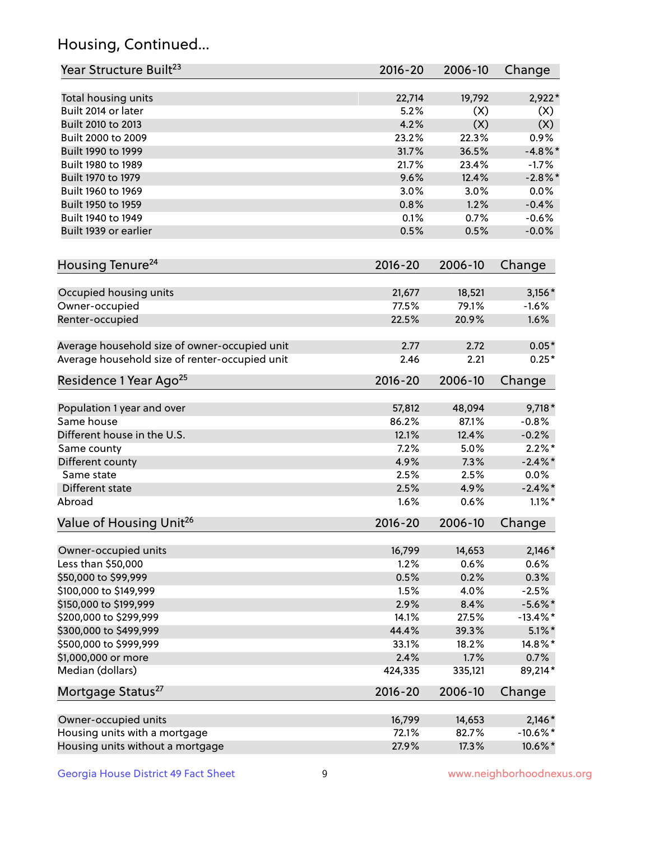## Housing, Continued...

| Year Structure Built <sup>23</sup>             | 2016-20     | 2006-10 | Change      |
|------------------------------------------------|-------------|---------|-------------|
| Total housing units                            | 22,714      | 19,792  | 2,922*      |
| Built 2014 or later                            | 5.2%        | (X)     | (X)         |
| Built 2010 to 2013                             | 4.2%        | (X)     | (X)         |
| Built 2000 to 2009                             | 23.2%       | 22.3%   | 0.9%        |
| Built 1990 to 1999                             | 31.7%       | 36.5%   | $-4.8\%$ *  |
| Built 1980 to 1989                             | 21.7%       | 23.4%   | $-1.7%$     |
| Built 1970 to 1979                             | 9.6%        | 12.4%   | $-2.8\%$ *  |
| Built 1960 to 1969                             | 3.0%        | 3.0%    | 0.0%        |
| Built 1950 to 1959                             | 0.8%        | 1.2%    | $-0.4%$     |
| Built 1940 to 1949                             | 0.1%        | 0.7%    | $-0.6%$     |
| Built 1939 or earlier                          | 0.5%        | 0.5%    | $-0.0%$     |
| Housing Tenure <sup>24</sup>                   | $2016 - 20$ | 2006-10 | Change      |
| Occupied housing units                         | 21,677      | 18,521  | $3,156*$    |
| Owner-occupied                                 | 77.5%       | 79.1%   | $-1.6%$     |
| Renter-occupied                                | 22.5%       | 20.9%   | 1.6%        |
| Average household size of owner-occupied unit  | 2.77        | 2.72    | $0.05*$     |
| Average household size of renter-occupied unit | 2.46        | 2.21    | $0.25*$     |
| Residence 1 Year Ago <sup>25</sup>             | $2016 - 20$ | 2006-10 | Change      |
| Population 1 year and over                     | 57,812      | 48,094  | $9,718*$    |
| Same house                                     | 86.2%       | 87.1%   | $-0.8%$     |
| Different house in the U.S.                    | 12.1%       | 12.4%   | $-0.2%$     |
| Same county                                    | 7.2%        | 5.0%    | $2.2\%$ *   |
| Different county                               | 4.9%        | 7.3%    | $-2.4\%$ *  |
| Same state                                     | 2.5%        | 2.5%    | 0.0%        |
| Different state                                | 2.5%        | 4.9%    | $-2.4\%$ *  |
| Abroad                                         | 1.6%        | 0.6%    | $1.1\%$ *   |
| Value of Housing Unit <sup>26</sup>            | $2016 - 20$ | 2006-10 | Change      |
| Owner-occupied units                           | 16,799      | 14,653  | $2,146*$    |
| Less than \$50,000                             | 1.2%        | 0.6%    | 0.6%        |
| \$50,000 to \$99,999                           | 0.5%        | 0.2%    | 0.3%        |
| \$100,000 to \$149,999                         | 1.5%        | 4.0%    | $-2.5%$     |
| \$150,000 to \$199,999                         | 2.9%        | 8.4%    | $-5.6\%$ *  |
| \$200,000 to \$299,999                         | 14.1%       | 27.5%   | $-13.4\%$ * |
| \$300,000 to \$499,999                         | 44.4%       | 39.3%   | $5.1\%$ *   |
| \$500,000 to \$999,999                         | 33.1%       | 18.2%   | 14.8%*      |
| \$1,000,000 or more                            | 2.4%        | 1.7%    | 0.7%        |
| Median (dollars)                               | 424,335     | 335,121 | 89,214*     |
| Mortgage Status <sup>27</sup>                  | $2016 - 20$ | 2006-10 | Change      |
| Owner-occupied units                           | 16,799      | 14,653  | $2,146*$    |
| Housing units with a mortgage                  | 72.1%       | 82.7%   | $-10.6\%$ * |
| Housing units without a mortgage               | 27.9%       | 17.3%   | 10.6%*      |
|                                                |             |         |             |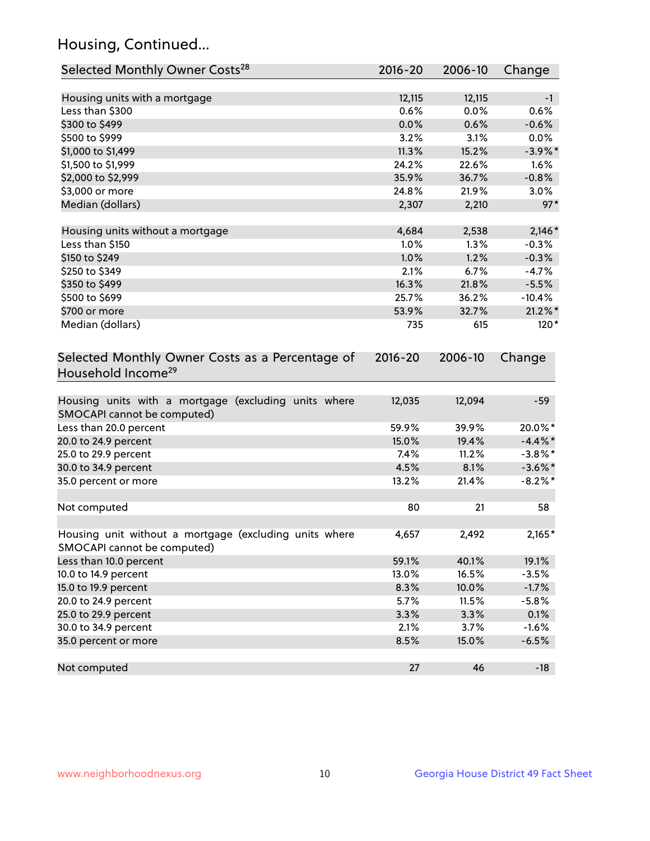## Housing, Continued...

| Selected Monthly Owner Costs <sup>28</sup>                                            | 2016-20 | 2006-10 | Change     |
|---------------------------------------------------------------------------------------|---------|---------|------------|
| Housing units with a mortgage                                                         | 12,115  | 12,115  | $-1$       |
| Less than \$300                                                                       | 0.6%    | 0.0%    | 0.6%       |
| \$300 to \$499                                                                        | 0.0%    | 0.6%    | $-0.6%$    |
| \$500 to \$999                                                                        | 3.2%    | 3.1%    | 0.0%       |
| \$1,000 to \$1,499                                                                    | 11.3%   | 15.2%   | $-3.9\%$ * |
| \$1,500 to \$1,999                                                                    | 24.2%   | 22.6%   | 1.6%       |
| \$2,000 to \$2,999                                                                    | 35.9%   | 36.7%   | $-0.8%$    |
| \$3,000 or more                                                                       | 24.8%   | 21.9%   | 3.0%       |
| Median (dollars)                                                                      | 2,307   | 2,210   | $97*$      |
|                                                                                       |         |         |            |
| Housing units without a mortgage                                                      | 4,684   | 2,538   | $2,146*$   |
| Less than \$150                                                                       | 1.0%    | 1.3%    | $-0.3%$    |
| \$150 to \$249                                                                        | 1.0%    | 1.2%    | $-0.3%$    |
| \$250 to \$349                                                                        | 2.1%    | 6.7%    | $-4.7%$    |
| \$350 to \$499                                                                        | 16.3%   | 21.8%   | $-5.5%$    |
| \$500 to \$699                                                                        | 25.7%   | 36.2%   | $-10.4%$   |
| \$700 or more                                                                         | 53.9%   | 32.7%   | $21.2\%$ * |
| Median (dollars)                                                                      | 735     | 615     | $120*$     |
| Household Income <sup>29</sup>                                                        |         |         |            |
| Housing units with a mortgage (excluding units where<br>SMOCAPI cannot be computed)   | 12,035  | 12,094  | $-59$      |
| Less than 20.0 percent                                                                | 59.9%   | 39.9%   | 20.0%*     |
| 20.0 to 24.9 percent                                                                  | 15.0%   | 19.4%   | $-4.4\%$ * |
| 25.0 to 29.9 percent                                                                  | 7.4%    | 11.2%   | $-3.8\%$ * |
| 30.0 to 34.9 percent                                                                  | 4.5%    | 8.1%    | $-3.6\%$ * |
| 35.0 percent or more                                                                  | 13.2%   | 21.4%   | $-8.2\%$ * |
| Not computed                                                                          | 80      | 21      | 58         |
| Housing unit without a mortgage (excluding units where<br>SMOCAPI cannot be computed) | 4,657   | 2,492   | $2,165*$   |
| Less than 10.0 percent                                                                | 59.1%   | 40.1%   | 19.1%      |
| 10.0 to 14.9 percent                                                                  | 13.0%   | 16.5%   | $-3.5%$    |
| 15.0 to 19.9 percent                                                                  | 8.3%    | 10.0%   | $-1.7%$    |
| 20.0 to 24.9 percent                                                                  | 5.7%    | 11.5%   | $-5.8%$    |
| 25.0 to 29.9 percent                                                                  | 3.3%    | 3.3%    | 0.1%       |
| 30.0 to 34.9 percent                                                                  | 2.1%    | 3.7%    | $-1.6%$    |
| 35.0 percent or more                                                                  | 8.5%    | 15.0%   | $-6.5%$    |
| Not computed                                                                          | 27      | 46      | $-18$      |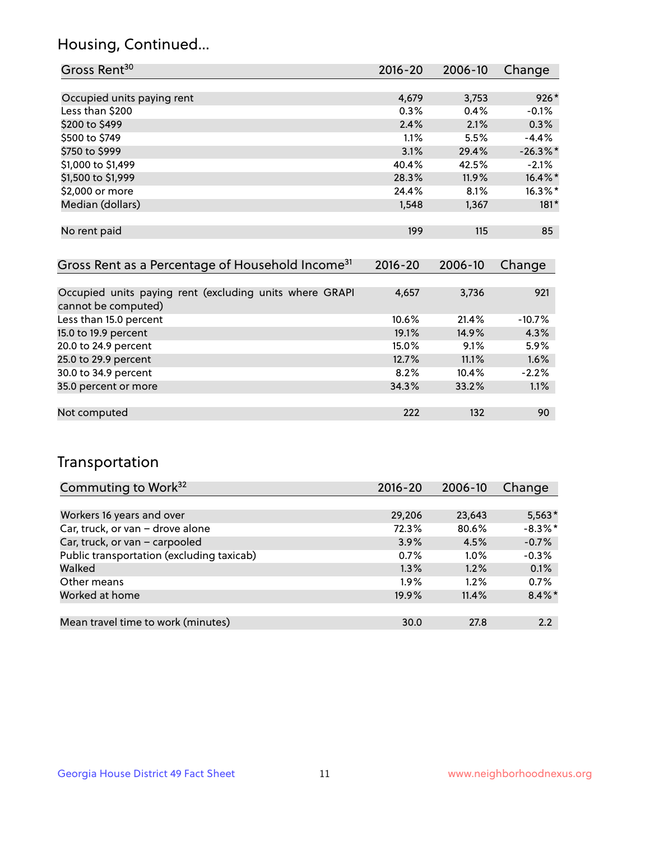## Housing, Continued...

| Gross Rent <sup>30</sup>   | 2016-20 | 2006-10 | Change      |
|----------------------------|---------|---------|-------------|
|                            |         |         |             |
| Occupied units paying rent | 4,679   | 3,753   | $926*$      |
| Less than \$200            | 0.3%    | 0.4%    | $-0.1%$     |
| \$200 to \$499             | 2.4%    | 2.1%    | 0.3%        |
| \$500 to \$749             | 1.1%    | 5.5%    | $-4.4%$     |
| \$750 to \$999             | 3.1%    | 29.4%   | $-26.3\%$ * |
| \$1,000 to \$1,499         | 40.4%   | 42.5%   | $-2.1%$     |
| \$1,500 to \$1,999         | 28.3%   | 11.9%   | 16.4%*      |
| \$2,000 or more            | 24.4%   | 8.1%    | $16.3\%$ *  |
| Median (dollars)           | 1,548   | 1,367   | $181*$      |
|                            |         |         |             |
| No rent paid               | 199     | 115     | 85          |
|                            |         |         |             |

| Gross Rent as a Percentage of Household Income <sup>31</sup>                   | $2016 - 20$ | 2006-10 | Change   |
|--------------------------------------------------------------------------------|-------------|---------|----------|
|                                                                                |             |         |          |
| Occupied units paying rent (excluding units where GRAPI<br>cannot be computed) | 4,657       | 3,736   | 921      |
| Less than 15.0 percent                                                         | $10.6\%$    | 21.4%   | $-10.7%$ |
| 15.0 to 19.9 percent                                                           | 19.1%       | 14.9%   | 4.3%     |
| 20.0 to 24.9 percent                                                           | 15.0%       | 9.1%    | 5.9%     |
| 25.0 to 29.9 percent                                                           | 12.7%       | 11.1%   | 1.6%     |
| 30.0 to 34.9 percent                                                           | 8.2%        | 10.4%   | $-2.2%$  |
| 35.0 percent or more                                                           | 34.3%       | 33.2%   | 1.1%     |
|                                                                                |             |         |          |
| Not computed                                                                   | 222         | 132     | 90       |

## Transportation

| Commuting to Work <sup>32</sup>           | 2016-20 | 2006-10 | Change     |
|-------------------------------------------|---------|---------|------------|
|                                           |         |         |            |
| Workers 16 years and over                 | 29,206  | 23,643  | $5,563*$   |
| Car, truck, or van - drove alone          | 72.3%   | 80.6%   | $-8.3\%$ * |
| Car, truck, or van - carpooled            | 3.9%    | 4.5%    | $-0.7%$    |
| Public transportation (excluding taxicab) | 0.7%    | $1.0\%$ | $-0.3%$    |
| Walked                                    | 1.3%    | 1.2%    | 0.1%       |
| Other means                               | $1.9\%$ | $1.2\%$ | 0.7%       |
| Worked at home                            | 19.9%   | 11.4%   | $8.4\%$ *  |
|                                           |         |         |            |
| Mean travel time to work (minutes)        | 30.0    | 27.8    | 2.2        |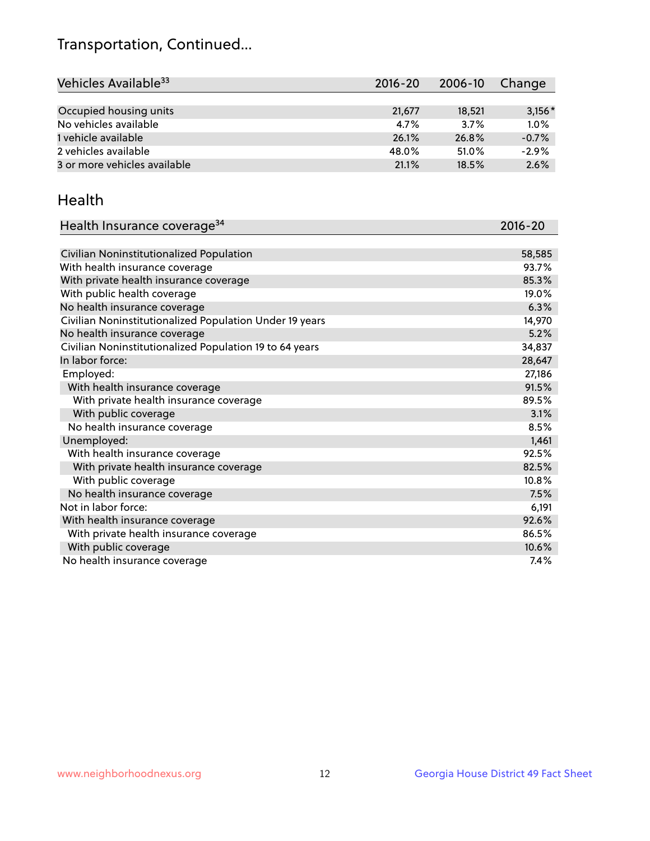## Transportation, Continued...

| Vehicles Available <sup>33</sup> | $2016 - 20$ | 2006-10 | Change   |
|----------------------------------|-------------|---------|----------|
|                                  |             |         |          |
| Occupied housing units           | 21,677      | 18,521  | $3,156*$ |
| No vehicles available            | 4.7%        | 3.7%    | 1.0%     |
| 1 vehicle available              | 26.1%       | 26.8%   | $-0.7%$  |
| 2 vehicles available             | 48.0%       | 51.0%   | $-2.9%$  |
| 3 or more vehicles available     | 21.1%       | 18.5%   | 2.6%     |

#### Health

| Health Insurance coverage <sup>34</sup>                 | 2016-20 |
|---------------------------------------------------------|---------|
|                                                         |         |
| Civilian Noninstitutionalized Population                | 58,585  |
| With health insurance coverage                          | 93.7%   |
| With private health insurance coverage                  | 85.3%   |
| With public health coverage                             | 19.0%   |
| No health insurance coverage                            | 6.3%    |
| Civilian Noninstitutionalized Population Under 19 years | 14,970  |
| No health insurance coverage                            | 5.2%    |
| Civilian Noninstitutionalized Population 19 to 64 years | 34,837  |
| In labor force:                                         | 28,647  |
| Employed:                                               | 27,186  |
| With health insurance coverage                          | 91.5%   |
| With private health insurance coverage                  | 89.5%   |
| With public coverage                                    | 3.1%    |
| No health insurance coverage                            | 8.5%    |
| Unemployed:                                             | 1,461   |
| With health insurance coverage                          | 92.5%   |
| With private health insurance coverage                  | 82.5%   |
| With public coverage                                    | 10.8%   |
| No health insurance coverage                            | 7.5%    |
| Not in labor force:                                     | 6,191   |
| With health insurance coverage                          | 92.6%   |
| With private health insurance coverage                  | 86.5%   |
| With public coverage                                    | 10.6%   |
| No health insurance coverage                            | 7.4%    |